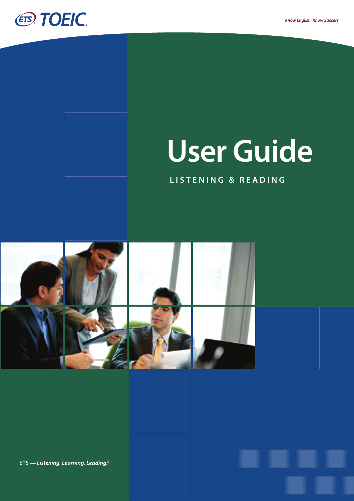

# **User Guide**

# **L I S T E N I N G & R E A D I N G**



ETS - Listening. Learning. Leading.<sup>®</sup>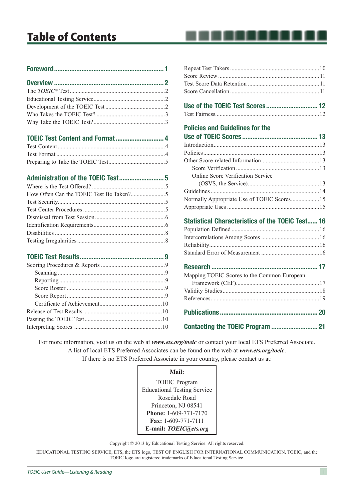# Table of Contents

# TOEIC Test Content and Format............................. 4

#### Administration of the TOEIC Test........................... 5

. . . . . . . .

## Policies and Guidelines for the

| <b>Online Score Verification Service</b>   |  |
|--------------------------------------------|--|
|                                            |  |
|                                            |  |
| Normally Appropriate Use of TOEIC Scores15 |  |
|                                            |  |

# Statistical Characteristics of the TOEIC Test...... 16

| Mapping TOEIC Scores to the Common European |  |
|---------------------------------------------|--|
|                                             |  |
|                                             |  |
|                                             |  |
|                                             |  |
|                                             |  |

For more information, visit us on the web at *www.ets.org/toeic* or contact your local ETS Preferred Associate. A list of local ETS Preferred Associates can be found on the web at *www.ets.org/toeic*. If there is no ETS Preferred Associate in your country, please contact us at:

**Mail:** 

TOEIC Program Educational Testing Service Rosedale Road Princeton, NJ 08541 **Phone:** 1-609-771-7170 **Fax:** 1-609-771-7111 **E-mail:** *TOEIC@ets.org*

Copyright © 2013 by Educational Testing Service. All rights reserved.

EDUCATIONAL TESTING SERVICE, ETS, the ETS logo, TEST OF ENGLISH FOR INTERNATIONAL COMMUNICATION, TOEIC, and the TOEIC logo are registered trademarks of Educational Testing Service.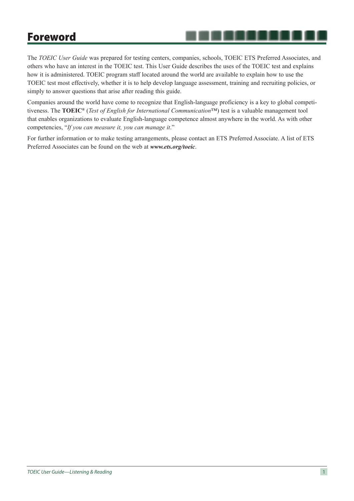# Foreword

The *TOEIC User Guide* was prepared for testing centers, companies, schools, TOEIC ETS Preferred Associates, and others who have an interest in the TOEIC test. This User Guide describes the uses of the TOEIC test and explains how it is administered. TOEIC program staff located around the world are available to explain how to use the TOEIC test most effectively, whether it is to help develop language assessment, training and recruiting policies, or simply to answer questions that arise after reading this guide.

. . . . . . .

Companies around the world have come to recognize that English-language proficiency is a key to global competitiveness. The **TOEIC®** (*Test of English for International Communication*™) test is a valuable management tool that enables organizations to evaluate English-language competence almost anywhere in the world. As with other competencies, "*If you can measure it, you can manage it*."

For further information or to make testing arrangements, please contact an ETS Preferred Associate. A list of ETS Preferred Associates can be found on the web at *www.ets.org/toeic*.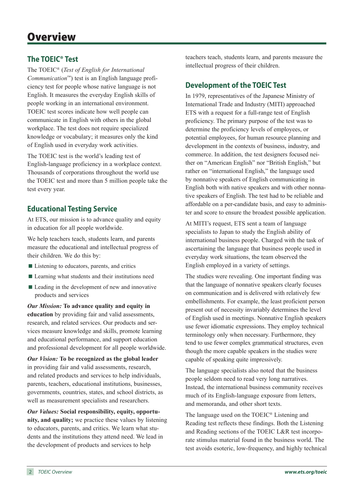# **The TOEIC® Test**

The TOEIC® (*Test of English for International Communication*™) test is an English language proficiency test for people whose native language is not English. It measures the everyday English skills of people working in an international environment. TOEIC test scores indicate how well people can communicate in English with others in the global workplace. The test does not require specialized knowledge or vocabulary; it measures only the kind of English used in everyday work activities.

The TOEIC test is the world's leading test of English-language proficiency in a workplace context. Thousands of corporations throughout the world use the TOEIC test and more than 5 million people take the test every year.

# **Educational Testing Service**

At ETS, our mission is to advance quality and equity in education for all people worldwide.

We help teachers teach, students learn, and parents measure the educational and intellectual progress of their children. We do this by:

- Listening to educators, parents, and critics
- Learning what students and their institutions need
- Leading in the development of new and innovative products and services

*Our Mission:* **To advance quality and equity in education** by providing fair and valid assessments, research, and related services. Our products and services measure knowledge and skills, promote learning and educational performance, and support education and professional development for all people worldwide.

*Our Vision:* **To be recognized as the global leader** in providing fair and valid assessments, research, and related products and services to help individuals, parents, teachers, educational institutions, businesses, governments, countries, states, and school districts, as well as measurement specialists and researchers.

*Our Values:* **Social responsibility, equity, opportunity, and quality;** we practice these values by listening to educators, parents, and critics. We learn what students and the institutions they attend need. We lead in the development of products and services to help

teachers teach, students learn, and parents measure the intellectual progress of their children.

# **Development of the TOEIC Test**

In 1979, representatives of the Japanese Ministry of International Trade and Industry (MITI) approached ETS with a request for a full-range test of English proficiency. The primary purpose of the test was to determine the proficiency levels of employees, or potential employees, for human resource planning and development in the contexts of business, industry, and commerce. In addition, the test designers focused neither on "American English" nor "British English," but rather on "international English," the language used by nonnative speakers of English communicating in English both with native speakers and with other nonnative speakers of English. The test had to be reliable and affordable on a per-candidate basis, and easy to administer and score to ensure the broadest possible application.

At MITI's request, ETS sent a team of language specialists to Japan to study the English ability of international business people. Charged with the task of ascertaining the language that business people used in everyday work situations, the team observed the English employed in a variety of settings.

The studies were revealing. One important finding was that the language of nonnative speakers clearly focuses on communication and is delivered with relatively few embellishments. For example, the least proficient person present out of necessity invariably determines the level of English used in meetings. Nonnative English speakers use fewer idiomatic expressions. They employ technical terminology only when necessary. Furthermore, they tend to use fewer complex grammatical structures, even though the more capable speakers in the studies were capable of speaking quite impressively.

The language specialists also noted that the business people seldom need to read very long narratives. Instead, the international business community receives much of its English-language exposure from letters, and memoranda, and other short texts.

The language used on the TOEIC® Listening and Reading test reflects these findings. Both the Listening and Reading sections of the TOEIC L&R test incorporate stimulus material found in the business world. The test avoids esoteric, low-frequency, and highly technical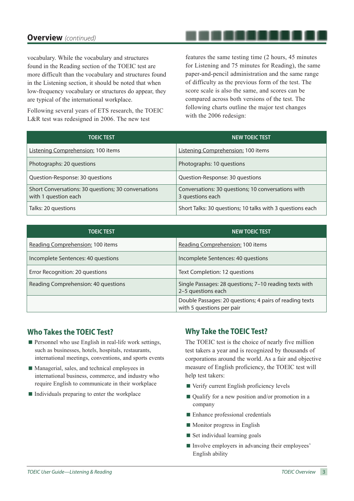# **Overview** *(continued)*

vocabulary. While the vocabulary and structures found in the Reading section of the TOEIC test are more difficult than the vocabulary and structures found in the Listening section, it should be noted that when low-frequency vocabulary or structures do appear, they are typical of the international workplace.

Following several years of ETS research, the TOEIC L&R test was redesigned in 2006. The new test

features the same testing time (2 hours, 45 minutes for Listening and 75 minutes for Reading), the same paper-and-pencil administration and the same range of difficulty as the previous form of the test. The score scale is also the same, and scores can be compared across both versions of the test. The following charts outline the major test changes with the 2006 redesign:

| <b>TOEIC TEST</b>                                                           | <b>NEW TOEIC TEST</b>                                                  |
|-----------------------------------------------------------------------------|------------------------------------------------------------------------|
| Listening Comprehension: 100 items                                          | <b>Listening Comprehension: 100 items</b>                              |
| Photographs: 20 questions                                                   | Photographs: 10 questions                                              |
| Question-Response: 30 questions                                             | Question-Response: 30 questions                                        |
| Short Conversations: 30 questions; 30 conversations<br>with 1 question each | Conversations: 30 questions; 10 conversations with<br>3 questions each |
| Talks: 20 questions                                                         | Short Talks: 30 questions; 10 talks with 3 questions each              |

| <b>TOEIC TEST</b>                   | <b>NEW TOEIC TEST</b>                                                                |
|-------------------------------------|--------------------------------------------------------------------------------------|
| Reading Comprehension: 100 items    | Reading Comprehension: 100 items                                                     |
| Incomplete Sentences: 40 questions  | Incomplete Sentences: 40 questions                                                   |
| Error Recognition: 20 questions     | Text Completion: 12 questions                                                        |
| Reading Comprehension: 40 questions | Single Passages: 28 questions; 7-10 reading texts with<br>2-5 questions each         |
|                                     | Double Passages: 20 questions; 4 pairs of reading texts<br>with 5 questions per pair |

# **Who Takes the TOEIC Test?**

- $\blacksquare$  Personnel who use English in real-life work settings, such as businesses, hotels, hospitals, restaurants, international meetings, conventions, and sports events
- Managerial, sales, and technical employees in international business, commerce, and industry who require English to communicate in their workplace
- $\blacksquare$  Individuals preparing to enter the workplace

# **Why Take the TOEIC Test?**

The TOEIC test is the choice of nearly five million test takers a year and is recognized by thousands of corporations around the world. As a fair and objective measure of English proficiency, the TOEIC test will help test takers:

- Verify current English proficiency levels
- Qualify for a new position and/or promotion in a company
- Enhance professional credentials
- **Monitor progress in English**
- Set individual learning goals
- Involve employers in advancing their employees' English ability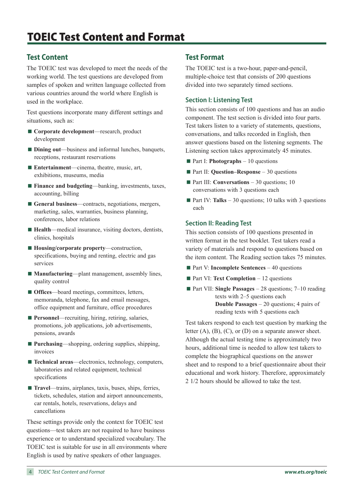# **Test Content**

The TOEIC test was developed to meet the needs of the working world. The test questions are developed from samples of spoken and written language collected from various countries around the world where English is used in the workplace.

Test questions incorporate many different settings and situations, such as:

- **Corporate development**—research, product development
- **Dining out**—business and informal lunches, banquets, receptions, restaurant reservations
- **Entertainment—cinema**, theatre, music, art, exhibitions, museums, media
- **Finance and budgeting—banking, investments, taxes,** accounting, billing
- General business—contracts, negotiations, mergers, marketing, sales, warranties, business planning, conferences, labor relations
- **Health**—medical insurance, visiting doctors, dentists, clinics, hospitals
- **Housing/corporate property—construction,** specifications, buying and renting, electric and gas services
- **Manufacturing**—plant management, assembly lines, quality control
- **Offices**—board meetings, committees, letters, memoranda, telephone, fax and email messages, office equipment and furniture, office procedures
- **Personnel**—recruiting, hiring, retiring, salaries, promotions, job applications, job advertisements, pensions, awards
- **Purchasing—shopping, ordering supplies, shipping,** invoices
- **Technical areas**—electronics, technology, computers, laboratories and related equipment, technical specifications
- **Travel**—trains, airplanes, taxis, buses, ships, ferries, tickets, schedules, station and airport announcements, car rentals, hotels, reservations, delays and cancellations

These settings provide only the context for TOEIC test questions—test takers are not required to have business experience or to understand specialized vocabulary. The TOEIC test is suitable for use in all environments where English is used by native speakers of other languages.

# **Test Format**

The TOEIC test is a two-hour, paper-and-pencil, multiple-choice test that consists of 200 questions divided into two separately timed sections.

#### **Section I: Listening Test**

This section consists of 100 questions and has an audio component. The test section is divided into four parts. Test takers listen to a variety of statements, questions, conversations, and talks recorded in English, then answer questions based on the listening segments. The Listening section takes approximately 45 minutes.

- **Part I: Photographs** 10 questions
- Part II: **Question–Response** 30 questions
- **Part III: Conversations** 30 questions; 10 conversations with 3 questions each
- **Part IV: Talks** 30 questions; 10 talks with 3 questions each

#### **Section II: Reading Test**

This section consists of 100 questions presented in written format in the test booklet. Test takers read a variety of materials and respond to questions based on the item content. The Reading section takes 75 minutes.

- Part V: **Incomplete Sentences** 40 questions
- **Part VI: Text Completion** 12 questions
- Part VII: **Single Passages** 28 questions; 7–10 reading texts with 2–5 questions each **Double Passages** – 20 questions; 4 pairs of reading texts with 5 questions each

Test takers respond to each test question by marking the letter  $(A)$ ,  $(B)$ ,  $(C)$ , or  $(D)$  on a separate answer sheet. Although the actual testing time is approximately two hours, additional time is needed to allow test takers to complete the biographical questions on the answer sheet and to respond to a brief questionnaire about their educational and work history. Therefore, approximately 2 1/2 hours should be allowed to take the test.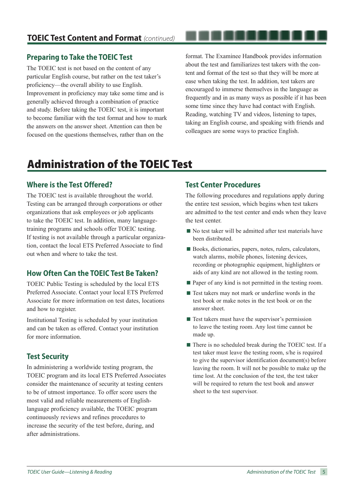# **Preparing to Take the TOEIC Test**

The TOEIC test is not based on the content of any particular English course, but rather on the test taker's proficiency—the overall ability to use English. Improvement in proficiency may take some time and is generally achieved through a combination of practice and study. Before taking the TOEIC test, it is important to become familiar with the test format and how to mark the answers on the answer sheet. Attention can then be focused on the questions themselves, rather than on the

format. The Examinee Handbook provides information about the test and familiarizes test takers with the content and format of the test so that they will be more at ease when taking the test. In addition, test takers are encouraged to immerse themselves in the language as frequently and in as many ways as possible if it has been some time since they have had contact with English. Reading, watching TV and videos, listening to tapes, taking an English course, and speaking with friends and colleagues are some ways to practice English.

. . . . . . .

# Administration of the TOEIC Test

# **Where is the Test Offered?**

The TOEIC test is available throughout the world. Testing can be arranged through corporations or other organizations that ask employees or job applicants to take the TOEIC test. In addition, many languagetraining programs and schools offer TOEIC testing. If testing is not available through a particular organization, contact the local ETS Preferred Associate to find out when and where to take the test.

# **How Often Can the TOEIC Test Be Taken?**

TOEIC Public Testing is scheduled by the local ETS Preferred Associate. Contact your local ETS Preferred Associate for more information on test dates, locations and how to register.

Institutional Testing is scheduled by your institution and can be taken as offered. Contact your institution for more information.

# **Test Security**

In administering a worldwide testing program, the TOEIC program and its local ETS Preferred Associates consider the maintenance of security at testing centers to be of utmost importance. To offer score users the most valid and reliable measurements of Englishlanguage proficiency available, the TOEIC program continuously reviews and refines procedures to increase the security of the test before, during, and after administrations.

# **Test Center Procedures**

The following procedures and regulations apply during the entire test session, which begins when test takers are admitted to the test center and ends when they leave the test center.

- $\blacksquare$  No test taker will be admitted after test materials have been distributed.
- Books, dictionaries, papers, notes, rulers, calculators, watch alarms, mobile phones, listening devices, recording or photographic equipment, highlighters or aids of any kind are not allowed in the testing room.
- Paper of any kind is not permitted in the testing room.
- $\blacksquare$  Test takers may not mark or underline words in the test book or make notes in the test book or on the answer sheet.
- $\blacksquare$  Test takers must have the supervisor's permission to leave the testing room. Any lost time cannot be made up.
- There is no scheduled break during the TOEIC test. If a test taker must leave the testing room, s/he is required to give the supervisor identification document(s) before leaving the room. It will not be possible to make up the time lost. At the conclusion of the test, the test taker will be required to return the test book and answer sheet to the test supervisor.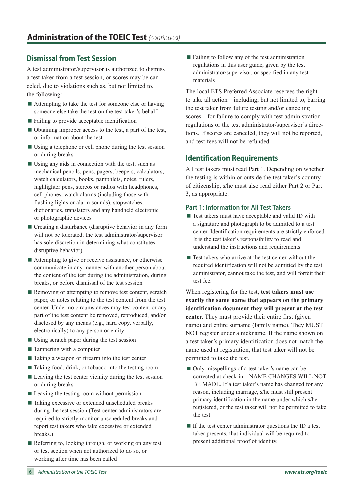# **Dismissal from Test Session**

A test administrator/supervisor is authorized to dismiss a test taker from a test session, or scores may be canceled, due to violations such as, but not limited to, the following:

- Attempting to take the test for someone else or having someone else take the test on the test taker's behalf
- Failing to provide acceptable identification
- Obtaining improper access to the test, a part of the test, or information about the test
- Using a telephone or cell phone during the test session or during breaks
- $\blacksquare$  Using any aids in connection with the test, such as mechanical pencils, pens, pagers, beepers, calculators, watch calculators, books, pamphlets, notes, rulers, highlighter pens, stereos or radios with headphones, cell phones, watch alarms (including those with flashing lights or alarm sounds), stopwatches, dictionaries, translators and any handheld electronic or photographic devices
- $\blacksquare$  Creating a disturbance (disruptive behavior in any form will not be tolerated; the test administrator/supervisor has sole discretion in determining what constitutes disruptive behavior)
- Attempting to give or receive assistance, or otherwise communicate in any manner with another person about the content of the test during the administration, during breaks, or before dismissal of the test session
- $\blacksquare$  Removing or attempting to remove test content, scratch paper, or notes relating to the test content from the test center. Under no circumstances may test content or any part of the test content be removed, reproduced, and/or disclosed by any means (e.g., hard copy, verbally, electronically) to any person or entity
- $\blacksquare$  Using scratch paper during the test session
- Tampering with a computer
- Taking a weapon or firearm into the test center
- Taking food, drink, or tobacco into the testing room
- Leaving the test center vicinity during the test session or during breaks
- $\blacksquare$  Leaving the testing room without permission
- Taking excessive or extended unscheduled breaks during the test session (Test center administrators are required to strictly monitor unscheduled breaks and report test takers who take excessive or extended breaks.)
- Referring to, looking through, or working on any test or test section when not authorized to do so, or working after time has been called

 $\blacksquare$  Failing to follow any of the test administration regulations in this user guide, given by the test administrator/supervisor, or specified in any test materials

The local ETS Preferred Associate reserves the right to take all action—including, but not limited to, barring the test taker from future testing and/or canceling scores—for failure to comply with test administration regulations or the test administrator/supervisor's directions. If scores are canceled, they will not be reported, and test fees will not be refunded.

# **Identification Requirements**

All test takers must read Part 1. Depending on whether the testing is within or outside the test taker's country of citizenship, s/he must also read either Part 2 or Part 3, as appropriate.

#### **Part 1: Information for All Test Takers**

- Test takers must have acceptable and valid ID with a signature and photograph to be admitted to a test center. Identification requirements are strictly enforced. It is the test taker's responsibility to read and understand the instructions and requirements.
- $\blacksquare$  Test takers who arrive at the test center without the required identification will not be admitted by the test administrator, cannot take the test, and will forfeit their test fee.

When registering for the test, **test takers must use exactly the same name that appears on the primary identification document they will present at the test center.** They must provide their entire first (given name) and entire surname (family name). They MUST NOT register under a nickname. If the name shown on a test taker's primary identification does not match the name used at registration, that test taker will not be permitted to take the test.

- Only misspellings of a test taker's name can be corrected at check-in—NAME CHANGES WILL NOT BE MADE. If a test taker's name has changed for any reason, including marriage, s/he must still present primary identification in the name under which s/he registered, or the test taker will not be permitted to take the test.
- $\blacksquare$  If the test center administrator questions the ID a test taker presents, that individual will be required to present additional proof of identity.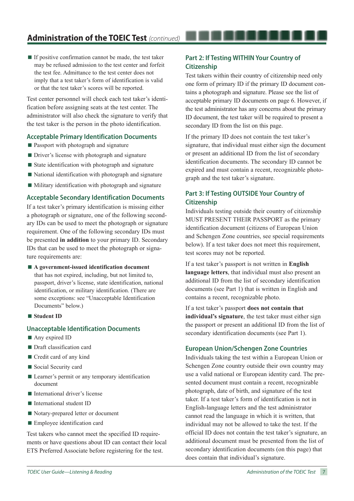$\blacksquare$  If positive confirmation cannot be made, the test taker may be refused admission to the test center and forfeit the test fee. Admittance to the test center does not imply that a test taker's form of identification is valid or that the test taker's scores will be reported.

Test center personnel will check each test taker's identification before assigning seats at the test center. The administrator will also check the signature to verify that the test taker is the person in the photo identification.

#### **Acceptable Primary Identification Documents**

- **Passport with photograph and signature**
- Driver's license with photograph and signature
- $\blacksquare$  State identification with photograph and signature
- $\blacksquare$  National identification with photograph and signature
- $\blacksquare$  Military identification with photograph and signature

#### **Acceptable Secondary Identification Documents**

If a test taker's primary identification is missing either a photograph or signature, one of the following secondary IDs can be used to meet the photograph or signature requirement. One of the following secondary IDs must be presented **in addition** to your primary ID. Secondary IDs that can be used to meet the photograph or signature requirements are:

- **A government-issued identification document** that has not expired, including, but not limited to, passport, driver's license, state identification, national identification, or military identification. (There are some exceptions: see "Unacceptable Identification Documents" below.)
- **Student ID**

#### **Unacceptable Identification Documents**

- Any expired ID
- **Draft classification card**
- Credit card of any kind
- Social Security card
- Learner's permit or any temporary identification document
- International driver's license
- International student ID
- Notary-prepared letter or document
- **Employee identification card**

Test takers who cannot meet the specified ID requirements or have questions about ID can contact their local ETS Preferred Associate before registering for the test.

## **Part 2: If Testing WITHIN Your Country of Citizenship**

Test takers within their country of citizenship need only one form of primary ID if the primary ID document contains a photograph and signature. Please see the list of acceptable primary ID documents on page 6. However, if the test administrator has any concerns about the primary ID document, the test taker will be required to present a secondary ID from the list on this page.

. . . . . . . . . .

If the primary ID does not contain the test taker's signature, that individual must either sign the document or present an additional ID from the list of secondary identification documents. The secondary ID cannot be expired and must contain a recent, recognizable photograph and the test taker's signature.

## **Part 3: If Testing OUTSIDE Your Country of Citizenship**

Individuals testing outside their country of citizenship MUST PRESENT THEIR PASSPORT as the primary identification document (citizens of European Union and Schengen Zone countries, see special requirements below). If a test taker does not meet this requirement, test scores may not be reported.

If a test taker's passport is not written in **English language letters**, that individual must also present an additional ID from the list of secondary identification documents (see Part 1) that is written in English and contains a recent, recognizable photo.

If a test taker's passport **does not contain that individual's signature**, the test taker must either sign the passport or present an additional ID from the list of secondary identification documents (see Part 1).

#### **European Union/Schengen Zone Countries**

Individuals taking the test within a European Union or Schengen Zone country outside their own country may use a valid national or European identity card. The presented document must contain a recent, recognizable photograph, date of birth, and signature of the test taker. If a test taker's form of identification is not in English-language letters and the test administrator cannot read the language in which it is written, that individual may not be allowed to take the test. If the official ID does not contain the test taker's signature, an additional document must be presented from the list of secondary identification documents (on this page) that does contain that individual's signature.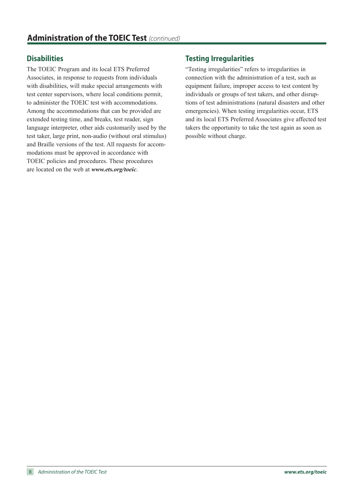# **Disabilities**

The TOEIC Program and its local ETS Preferred Associates, in response to requests from individuals with disabilities, will make special arrangements with test center supervisors, where local conditions permit, to administer the TOEIC test with accommodations. Among the accommodations that can be provided are extended testing time, and breaks, test reader, sign language interpreter, other aids customarily used by the test taker, large print, non-audio (without oral stimulus) and Braille versions of the test. All requests for accommodations must be approved in accordance with TOEIC policies and procedures. These procedures are located on the web at *www.ets.org/toeic*.

# **Testing Irregularities**

"Testing irregularities" refers to irregularities in connection with the administration of a test, such as equipment failure, improper access to test content by individuals or groups of test takers, and other disruptions of test administrations (natural disasters and other emergencies). When testing irregularities occur, ETS and its local ETS Preferred Associates give affected test takers the opportunity to take the test again as soon as possible without charge.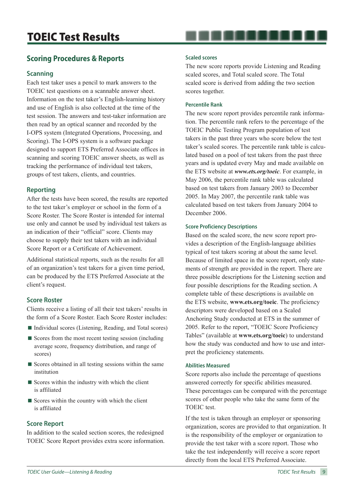# TOEIC Test Results

# **Scoring Procedures & Reports**

#### **Scanning**

Each test taker uses a pencil to mark answers to the TOEIC test questions on a scannable answer sheet. Information on the test taker's English-learning history and use of English is also collected at the time of the test session. The answers and test-taker information are then read by an optical scanner and recorded by the I-OPS system (Integrated Operations, Processing, and Scoring). The I-OPS system is a software package designed to support ETS Preferred Associate offices in scanning and scoring TOEIC answer sheets, as well as tracking the performance of individual test takers, groups of test takers, clients, and countries.

#### **Reporting**

After the tests have been scored, the results are reported to the test taker's employer or school in the form of a Score Roster. The Score Roster is intended for internal use only and cannot be used by individual test takers as an indication of their "official" score. Clients may choose to supply their test takers with an individual Score Report or a Certificate of Achievement.

Additional statistical reports, such as the results for all of an organization's test takers for a given time period, can be produced by the ETS Preferred Associate at the client's request.

#### **Score Roster**

Clients receive a listing of all their test takers' results in the form of a Score Roster. Each Score Roster includes:

- Individual scores (Listening, Reading, and Total scores)
- $\blacksquare$  Scores from the most recent testing session (including average score, frequency distribution, and range of scores)
- $\blacksquare$  Scores obtained in all testing sessions within the same institution
- $\blacksquare$  Scores within the industry with which the client is affiliated
- $\blacksquare$  Scores within the country with which the client is affiliated

#### **Score Report**

In addition to the scaled section scores, the redesigned TOEIC Score Report provides extra score information.

#### **Scaled scores**

The new score reports provide Listening and Reading scaled scores, and Total scaled score. The Total scaled score is derived from adding the two section scores together.

#### **Percentile Rank**

The new score report provides percentile rank information. The percentile rank refers to the percentage of the TOEIC Public Testing Program population of test takers in the past three years who score below the test taker's scaled scores. The percentile rank table is calculated based on a pool of test takers from the past three years and is updated every May and made available on the ETS website at *www.ets.org/toeic*. For example, in May 2006, the percentile rank table was calculated based on test takers from January 2003 to December 2005. In May 2007, the percentile rank table was calculated based on test takers from January 2004 to December 2006.

#### **Score Proficiency Descriptions**

Based on the scaled score, the new score report provides a description of the English-language abilities typical of test takers scoring at about the same level. Because of limited space in the score report, only statements of strength are provided in the report. There are three possible descriptions for the Listening section and four possible descriptions for the Reading section. A complete table of these descriptions is available on the ETS website, **www.ets.org/toeic**. The proficiency descriptors were developed based on a Scaled Anchoring Study conducted at ETS in the summer of 2005. Refer to the report, "TOEIC Score Proficiency Tables" (available at **www.ets.org/toeic**) to understand how the study was conducted and how to use and interpret the proficiency statements.

#### **Abilities Measured**

Score reports also include the percentage of questions answered correctly for specific abilities measured. These percentages can be compared with the percentage scores of other people who take the same form of the TOEIC test.

If the test is taken through an employer or sponsoring organization, scores are provided to that organization. It is the responsibility of the employer or organization to provide the test taker with a score report. Those who take the test independently will receive a score report directly from the local ETS Preferred Associate.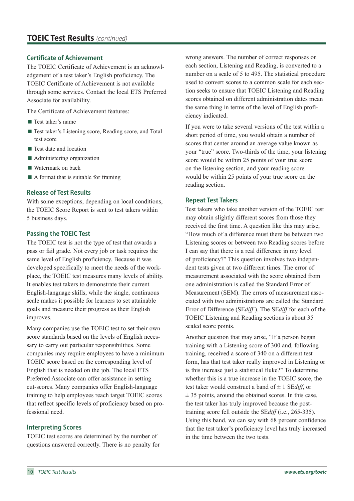# **TOEIC Test Results** *(continued)*

#### **Certificate of Achievement**

The TOEIC Certificate of Achievement is an acknowledgement of a test taker's English proficiency. The TOEIC Certificate of Achievement is not available through some services. Contact the local ETS Preferred Associate for availability.

The Certificate of Achievement features:

- Test taker's name
- Test taker's Listening score, Reading score, and Total test score
- Test date and location
- Administering organization
- Watermark on back
- $\blacksquare$  A format that is suitable for framing

#### **Release of Test Results**

With some exceptions, depending on local conditions, the TOEIC Score Report is sent to test takers within 5 business days.

#### **Passing the TOEIC Test**

The TOEIC test is not the type of test that awards a pass or fail grade. Not every job or task requires the same level of English proficiency. Because it was developed specifically to meet the needs of the workplace, the TOEIC test measures many levels of ability. It enables test takers to demonstrate their current English-language skills, while the single, continuous scale makes it possible for learners to set attainable goals and measure their progress as their English improves.

Many companies use the TOEIC test to set their own score standards based on the levels of English necessary to carry out particular responsibilities. Some companies may require employees to have a minimum TOEIC score based on the corresponding level of English that is needed on the job. The local ETS Preferred Associate can offer assistance in setting cut-scores. Many companies offer English-language training to help employees reach target TOEIC scores that reflect specific levels of proficiency based on professional need.

#### **Interpreting Scores**

TOEIC test scores are determined by the number of questions answered correctly. There is no penalty for wrong answers. The number of correct responses on each section, Listening and Reading, is converted to a number on a scale of 5 to 495. The statistical procedure used to convert scores to a common scale for each section seeks to ensure that TOEIC Listening and Reading scores obtained on different administration dates mean the same thing in terms of the level of English proficiency indicated.

If you were to take several versions of the test within a short period of time, you would obtain a number of scores that center around an average value known as your "true" score. Two-thirds of the time, your listening score would be within 25 points of your true score on the listening section, and your reading score would be within 25 points of your true score on the reading section.

#### **Repeat Test Takers**

Test takers who take another version of the TOEIC test may obtain slightly different scores from those they received the first time. A question like this may arise, "How much of a difference must there be between two Listening scores or between two Reading scores before I can say that there is a real difference in my level of proficiency?" This question involves two independent tests given at two different times. The error of measurement associated with the score obtained from one administration is called the Standard Error of Measurement (SEM). The errors of measurement associated with two administrations are called the Standard Error of Difference (SE*diff* ). The SE*diff* for each of the TOEIC Listening and Reading sections is about 35 scaled score points.

Another question that may arise, "If a person began training with a Listening score of 300 and, following training, received a score of 340 on a different test form, has that test taker really improved in Listening or is this increase just a statistical fluke?" To determine whether this is a true increase in the TOEIC score, the test taker would construct a band of  $\pm$  1 SE*diff*, or  $\pm$  35 points, around the obtained scores. In this case, the test taker has truly improved because the posttraining score fell outside the SE*diff* (i.e., 265-335). Using this band, we can say with 68 percent confidence that the test taker's proficiency level has truly increased in the time between the two tests.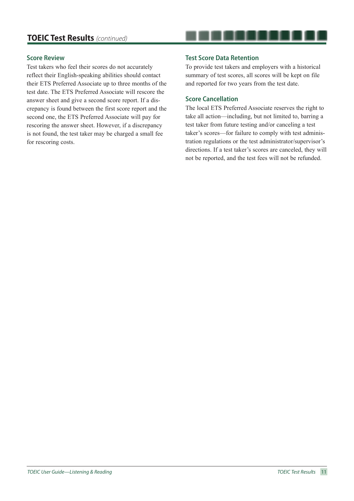#### **Score Review**

Test takers who feel their scores do not accurately reflect their English-speaking abilities should contact their ETS Preferred Associate up to three months of the test date. The ETS Preferred Associate will rescore the answer sheet and give a second score report. If a discrepancy is found between the first score report and the second one, the ETS Preferred Associate will pay for rescoring the answer sheet. However, if a discrepancy is not found, the test taker may be charged a small fee for rescoring costs.

#### **Test Score Data Retention**

To provide test takers and employers with a historical summary of test scores, all scores will be kept on file and reported for two years from the test date.

. . . . . . . .

#### **Score Cancellation**

The local ETS Preferred Associate reserves the right to take all action—including, but not limited to, barring a test taker from future testing and/or canceling a test taker's scores—for failure to comply with test administration regulations or the test administrator/supervisor's directions. If a test taker's scores are canceled, they will not be reported, and the test fees will not be refunded.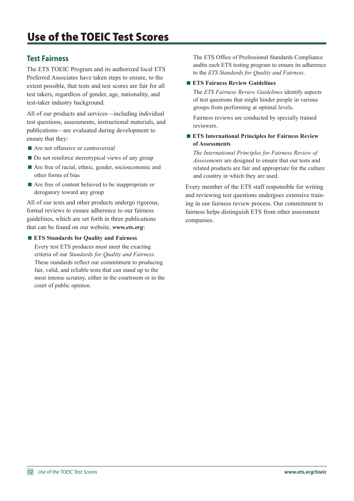# **Test Fairness**

The ETS TOEIC Program and its authorized local ETS Preferred Associates have taken steps to ensure, to the extent possible, that tests and test scores are fair for all test takers, regardless of gender, age, nationality, and test-taker industry background.

All of our products and services—including individual test questions, assessments, instructional materials, and publications—are evaluated during development to ensure that they:

- Are not offensive or controversial
- Do not reinforce stereotypical views of any group
- Are free of racial, ethnic, gender, socioeconomic and other forms of bias
- Are free of content believed to be inappropriate or derogatory toward any group

All of our tests and other products undergo rigorous, formal reviews to ensure adherence to our fairness guidelines, which are set forth in three publications that can be found on our website, *www.ets.org*:

#### **ETS Standards for Quality and Fairness**

Every test ETS produces must meet the exacting criteria of our *Standards for Quality and Fairness*. These standards reflect our commitment to producing fair, valid, and reliable tests that can stand up to the most intense scrutiny, either in the courtroom or in the court of public opinion.

The ETS Office of Professional Standards Compliance audits each ETS testing program to ensure its adherence to the *ETS Standards for Quality and Fairness*.

#### **ETS Fairness Review Guidelines**

The *ETS Fairness Review Guidelines* identify aspects of test questions that might hinder people in various groups from performing at optimal levels.

Fairness reviews are conducted by specially trained reviewers.

#### **ETS International Principles for Fairness Review of Assessments**

*The International Principles for Fairness Review of Assessments* are designed to ensure that our tests and related products are fair and appropriate for the culture and country in which they are used.

Every member of the ETS staff responsible for writing and reviewing test questions undergoes extensive training in our fairness review process. Our commitment to fairness helps distinguish ETS from other assessment companies.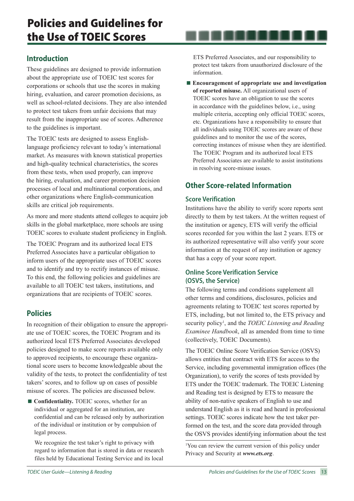# **Introduction**

These guidelines are designed to provide information about the appropriate use of TOEIC test scores for corporations or schools that use the scores in making hiring, evaluation, and career promotion decisions, as well as school-related decisions. They are also intended to protect test takers from unfair decisions that may result from the inappropriate use of scores. Adherence to the guidelines is important.

The TOEIC tests are designed to assess Englishlanguage proficiency relevant to today's international market. As measures with known statistical properties and high-quality technical characteristics, the scores from these tests, when used properly, can improve the hiring, evaluation, and career promotion decision processes of local and multinational corporations, and other organizations where English-communication skills are critical job requirements.

As more and more students attend colleges to acquire job skills in the global marketplace, more schools are using TOEIC scores to evaluate student proficiency in English.

The TOEIC Program and its authorized local ETS Preferred Associates have a particular obligation to inform users of the appropriate uses of TOEIC scores and to identify and try to rectify instances of misuse. To this end, the following policies and guidelines are available to all TOEIC test takers, institutions, and organizations that are recipients of TOEIC scores.

# **Policies**

In recognition of their obligation to ensure the appropriate use of TOEIC scores, the TOEIC Program and its authorized local ETS Preferred Associates developed policies designed to make score reports available only to approved recipients, to encourage these organizational score users to become knowledgeable about the validity of the tests, to protect the confidentiality of test takers' scores, and to follow up on cases of possible misuse of scores. The policies are discussed below.

■ **Confidentiality.** TOEIC scores, whether for an individual or aggregated for an institution, are confidential and can be released only by authorization of the individual or institution or by compulsion of legal process.

We recognize the test taker's right to privacy with regard to information that is stored in data or research files held by Educational Testing Service and its local

ETS Preferred Associates, and our responsibility to protect test takers from unauthorized disclosure of the information.

. . . . . . . . . . .

**Encouragement of appropriate use and investigation of reported misuse.** All organizational users of TOEIC scores have an obligation to use the scores in accordance with the guidelines below, i.e., using multiple criteria, accepting only official TOEIC scores, etc. Organizations have a responsibility to ensure that all individuals using TOEIC scores are aware of these guidelines and to monitor the use of the scores, correcting instances of misuse when they are identified. The TOEIC Program and its authorized local ETS Preferred Associates are available to assist institutions in resolving score-misuse issues.

# **Other Score-related Information**

#### **Score Verification**

Institutions have the ability to verify score reports sent directly to them by test takers. At the written request of the institution or agency, ETS will verify the official scores recorded for you within the last 2 years. ETS or its authorized representative will also verify your score information at the request of any institution or agency that has a copy of your score report.

#### **Online Score Verification Service (OSVS, the Service)**

The following terms and conditions supplement all other terms and conditions, disclosures, policies and agreements relating to TOEIC test scores reported by ETS, including, but not limited to, the ETS privacy and security policy<sup>1</sup>, and the *TOEIC Listening and Reading Examinee Handbook*, all as amended from time to time (collectively, TOEIC Documents).

The TOEIC Online Score Verification Service (OSVS) allows entities that contract with ETS for access to the Service, including governmental immigration offices (the Organization), to verify the scores of tests provided by ETS under the TOEIC trademark. The TOEIC Listening and Reading test is designed by ETS to measure the ability of non-native speakers of English to use and understand English as it is read and heard in professional settings. TOEIC scores indicate how the test taker performed on the test, and the score data provided through the OSVS provides identifying information about the test

1 You can review the current version of this policy under Privacy and Security at *www.ets.org*.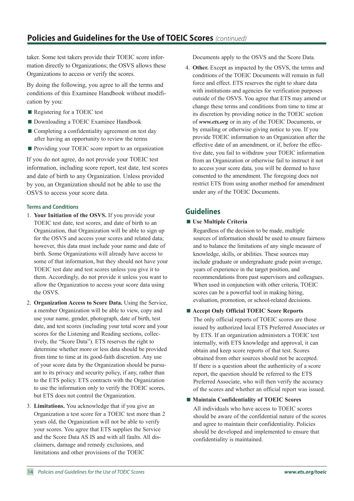taker. Some test takers provide their TOEIC score information directly to Organizations; the OSVS allows these Organizations to access or verify the scores.

By doing the following, you agree to all the terms and conditions of this Examinee Handbook without modification by you:

- Registering for a TOEIC test
- Downloading a TOEIC Examinee Handbook
- Completing a confidentiality agreement on test day after having an opportunity to review the terms
- **Providing your TOEIC score report to an organization**

If you do not agree, do not provide your TOEIC test information, including score report, test date, test scores and date of birth to any Organization. Unless provided by you, an Organization should not be able to use the OSVS to access your score data.

#### **Terms and Conditions**

- 1. **Your Initiation of the OSVS.** If you provide your TOEIC test date, test scores, and date of birth to an Organization, that Organization will be able to sign up for the OSVS and access your scores and related data; however, this data must include your name and date of birth. Some Organizations will already have access to some of that information, but they should not have your TOEIC test date and test scores unless you give it to them. Accordingly, do not provide it unless you want to allow the Organization to access your score data using the OSVS.
- 2. **Organization Access to Score Data.** Using the Service, a member Organization will be able to view, copy and use your name, gender, photograph, date of birth, test date, and test scores (including your total score and your scores for the Listening and Reading sections, collectively, the "Score Data"). ETS reserves the right to determine whether more or less data should be provided from time to time at its good-faith discretion. Any use of your score data by the Organization should be pursuant to its privacy and security policy, if any, rather than to the ETS policy. ETS contracts with the Organization to use the information only to verify the TOEIC scores, but ETS does not control the Organization.
- 3. **Limitations.** You acknowledge that if you give an Organization a test score for a TOEIC test more than 2 years old, the Organization will not be able to verify your scores. You agree that ETS supplies the Service and the Score Data AS IS and with all faults. All disclaimers, damage and remedy exclusions, and limitations and other provisions of the TOEIC

Documents apply to the OSVS and the Score Data.

4. **Other.** Except as impacted by the OSVS, the terms and conditions of the TOEIC Documents will remain in full force and effect. ETS reserves the right to share data with institutions and agencies for verification purposes outside of the OSVS. You agree that ETS may amend or change these terms and conditions from time to time at its discretion by providing notice in the TOEIC section of *www.ets.org* or in any of the TOEIC Documents, or by emailing or otherwise giving notice to you. If you provide TOEIC information to an Organization after the effective date of an amendment, or if, before the effective date, you fail to withdraw your TOEIC information from an Organization or otherwise fail to instruct it not to access your score data, you will be deemed to have consented to the amendment. The foregoing does not restrict ETS from using another method for amendment under any of the TOEIC Documents.

# **Guidelines**

**Use Multiple Criteria** 

Regardless of the decision to be made, multiple sources of information should be used to ensure fairness and to balance the limitations of any single measure of knowledge, skills, or abilities. These sources may include graduate or undergraduate grade point average, years of experience in the target position, and recommendations from past supervisors and colleagues. When used in conjunction with other criteria, TOEIC scores can be a powerful tool in making hiring, evaluation, promotion, or school-related decisions.

**Accept Only Official TOEIC Score Reports** 

The only official reports of TOEIC scores are those issued by authorized local ETS Preferred Associates or by ETS. If an organization administers a TOEIC test internally, with ETS knowledge and approval, it can obtain and keep score reports of that test. Scores obtained from other sources should not be accepted. If there is a question about the authenticity of a score report, the question should be referred to the ETS Preferred Associate, who will then verify the accuracy of the scores and whether an official report was issued.

■ Maintain Confidentiality of TOEIC Scores

All individuals who have access to TOEIC scores should be aware of the confidential nature of the scores and agree to maintain their confidentiality. Policies should be developed and implemented to ensure that confidentiality is maintained.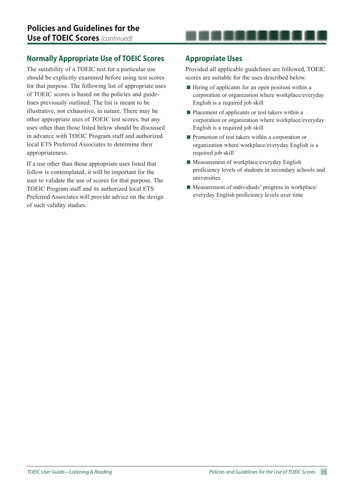# **Normally Appropriate Use of TOEIC Scores**

The suitability of a TOEIC test for a particular use should be explicitly examined before using test scores for that purpose. The following list of appropriate uses of TOEIC scores is based on the policies and guidelines previously outlined. The list is meant to be illustrative, not exhaustive, in nature. There may be other appropriate uses of TOEIC test scores, but any uses other than those listed below should be discussed in advance with TOEIC Program staff and authorized local ETS Preferred Associates to determine their appropriateness.

If a use other than those appropriate uses listed that follow is contemplated, it will be important for the user to validate the use of scores for that purpose. The TOEIC Program staff and its authorized local ETS Preferred Associates will provide advice on the design of such validity studies.

# **Appropriate Uses**

Provided all applicable guidelines are followed, TOEIC scores are suitable for the uses described below.

. . . . . . . .

- $\blacksquare$  Hiring of applicants for an open position within a corporation or organization where workplace/everyday English is a required job skill
- **Placement of applicants or test takers within a** corporation or organization where workplace/everyday English is a required job skill
- **Promotion of test takers within a corporation or** organization where workplace/everyday English is a required job skill
- $\blacksquare$  Measurement of workplace/everyday English proficiency levels of students in secondary schools and universities
- $\blacksquare$  Measurement of individuals' progress in workplace/ everyday English proficiency levels over time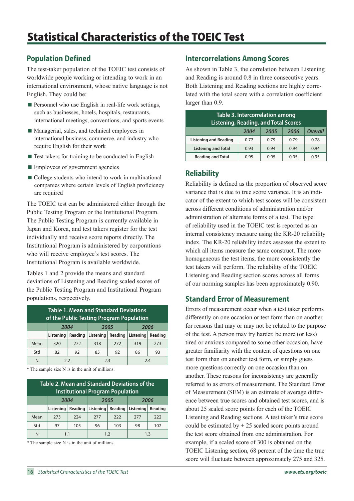# **Population Defined**

The test-taker population of the TOEIC test consists of worldwide people working or intending to work in an international environment, whose native language is not English. They could be:

- $\blacksquare$  Personnel who use English in real-life work settings, such as businesses, hotels, hospitals, restaurants, international meetings, conventions, and sports events
- Managerial, sales, and technical employees in international business, commerce, and industry who require English for their work
- $\blacksquare$  Test takers for training to be conducted in English
- **Employees of government agencies**
- College students who intend to work in multinational companies where certain levels of English proficiency are required

The TOEIC test can be administered either through the Public Testing Program or the Institutional Program. The Public Testing Program is currently available in Japan and Korea, and test takers register for the test individually and receive score reports directly. The Institutional Program is administered by corporations who will receive employee's test scores. The Institutional Program is available worldwide.

Tables 1 and 2 provide the means and standard deviations of Listening and Reading scaled scores of the Public Testing Program and Institutional Program populations, respectively.

| <b>Table 1. Mean and Standard Deviations</b><br>of the Public Testing Program Population |                      |                   |           |         |           |         |
|------------------------------------------------------------------------------------------|----------------------|-------------------|-----------|---------|-----------|---------|
|                                                                                          | 2005<br>2004<br>2006 |                   |           |         |           |         |
|                                                                                          | Listening            | Reading           | Listening | Reading | Listening | Reading |
| Mean                                                                                     | 320                  | 272               | 318       | 272     | 319       | 273     |
| Std                                                                                      | 82                   | 92                | 85        | 92      | 86        | 93      |
| N                                                                                        |                      | 2.3<br>7.4<br>2.2 |           |         |           |         |

\* The sample size N is in the unit of millions.

| Table 2. Mean and Standard Deviations of the<br><b>Institutional Program Population</b> |                      |         |           |         |           |         |
|-----------------------------------------------------------------------------------------|----------------------|---------|-----------|---------|-----------|---------|
|                                                                                         | 2005<br>2006<br>2004 |         |           |         |           |         |
|                                                                                         | Listening            | Reading | Listening | Reading | Listening | Reading |
| Mean                                                                                    | 273                  | 224     | 277       | 222     | 277       | 222     |
| Std                                                                                     | 97                   | 105     | 96        | 103     | 98        | 102     |
|                                                                                         | 1.3<br>1.1<br>1.2    |         |           |         |           |         |

\* The sample size N is in the unit of millions.

# **Intercorrelations Among Scores**

As shown in Table 3, the correlation between Listening and Reading is around 0.8 in three consecutive years. Both Listening and Reading sections are highly correlated with the total score with a correlation coefficient larger than 0.9.

| <b>Table 3. Intercorrelation among</b><br><b>Listening, Reading, and Total Scores</b> |      |      |      |                |  |  |  |  |
|---------------------------------------------------------------------------------------|------|------|------|----------------|--|--|--|--|
|                                                                                       | 2004 | 2005 | 2006 | <b>Overall</b> |  |  |  |  |
| <b>Listening and Reading</b>                                                          | 0.77 | 0.79 | 0.79 | 0.78           |  |  |  |  |
| <b>Listening and Total</b>                                                            | 0.93 | 0.94 | 0.94 | 0.94           |  |  |  |  |
| <b>Reading and Total</b>                                                              | 0.95 | 0.95 | 0.95 | 0.95           |  |  |  |  |

# **Reliability**

Reliability is defined as the proportion of observed score variance that is due to true score variance. It is an indicator of the extent to which test scores will be consistent across different conditions of administration and/or administration of alternate forms of a test. The type of reliability used in the TOEIC test is reported as an internal consistency measure using the KR-20 reliability index. The KR-20 reliability index assesses the extent to which all items measure the same construct. The more homogeneous the test items, the more consistently the test takers will perform. The reliability of the TOEIC Listening and Reading section scores across all forms of our norming samples has been approximately 0.90.

# **Standard Error of Measurement**

Errors of measurement occur when a test taker performs differently on one occasion or test form than on another for reasons that may or may not be related to the purpose of the test. A person may try harder, be more (or less) tired or anxious compared to some other occasion, have greater familiarity with the content of questions on one test form than on another test form, or simply guess more questions correctly on one occasion than on another. These reasons for inconsistency are generally referred to as errors of measurement. The Standard Error of Measurement (SEM) is an estimate of average difference between true scores and obtained test scores, and is about 25 scaled score points for each of the TOEIC Listening and Reading sections. A test taker's true score could be estimated by  $\pm 25$  scaled score points around the test score obtained from one administration. For example, if a scaled score of 300 is obtained on the TOEIC Listening section, 68 percent of the time the true score will fluctuate between approximately 275 and 325.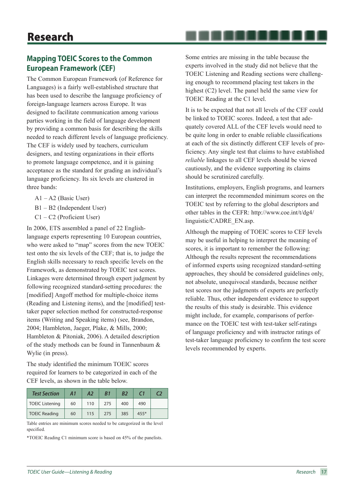# **Mapping TOEIC Scores to the Common European Framework (CEF)**

The Common European Framework (of Reference for Languages) is a fairly well-established structure that has been used to describe the language proficiency of foreign-language learners across Europe. It was designed to facilitate communication among various parties working in the field of language development by providing a common basis for describing the skills needed to reach different levels of language proficiency. The CEF is widely used by teachers, curriculum designers, and testing organizations in their efforts to promote language competence, and it is gaining acceptance as the standard for grading an individual's language proficiency. Its six levels are clustered in three bands:

- A1 A2 (Basic User)
- B1 B2 (Independent User)
- C1 C2 (Proficient User)

In 2006, ETS assembled a panel of 22 Englishlanguage experts representing 10 European countries, who were asked to "map" scores from the new TOEIC test onto the six levels of the CEF; that is, to judge the English skills necessary to reach specific levels on the Framework, as demonstrated by TOEIC test scores. Linkages were determined through expert judgment by following recognized standard-setting procedures: the [modified] Angoff method for multiple-choice items (Reading and Listening items), and the [modified] testtaker paper selection method for constructed-response items (Writing and Speaking items) (see, Brandon, 2004; Hambleton, Jaeger, Plake, & Mills, 2000; Hambleton & Pitoniak, 2006). A detailed description of the study methods can be found in Tannenbaum & Wylie (in press).

The study identified the minimum TOEIC scores required for learners to be categorized in each of the CEF levels, as shown in the table below.

| <b>Test Section</b>    | A1 | A2  | B1  | <b>B2</b> | $\epsilon$ 1 | C2 |
|------------------------|----|-----|-----|-----------|--------------|----|
| <b>TOEIC Listening</b> | 60 | 110 | 275 | 400       | 490          |    |
| <b>TOEIC Reading</b>   | 60 | 115 | 275 | 385       | $455*$       |    |

Table entries are minimum scores needed to be categorized in the level specified.

\*TOEIC Reading C1 minimum score is based on 45% of the panelists.

Some entries are missing in the table because the experts involved in the study did not believe that the TOEIC Listening and Reading sections were challenging enough to recommend placing test takers in the highest (C2) level. The panel held the same view for TOEIC Reading at the C1 level.

. . . . . . . . . .

It is to be expected that not all levels of the CEF could be linked to TOEIC scores. Indeed, a test that adequately covered ALL of the CEF levels would need to be quite long in order to enable reliable classifications at each of the six distinctly different CEF levels of proficiency. Any single test that claims to have established *reliable* linkages to all CEF levels should be viewed cautiously, and the evidence supporting its claims should be scrutinized carefully.

Institutions, employers, English programs, and learners can interpret the recommended minimum scores on the TOEIC test by referring to the global descriptors and other tables in the CEFR: http://www.coe.int/t/dg4/ linguistic/CADRE\_EN.asp.

Although the mapping of TOEIC scores to CEF levels may be useful in helping to interpret the meaning of scores, it is important to remember the following: Although the results represent the recommendations of informed experts using recognized standard-setting approaches, they should be considered guidelines only, not absolute, unequivocal standards, because neither test scores nor the judgments of experts are perfectly reliable. Thus, other independent evidence to support the results of this study is desirable. This evidence might include, for example, comparisons of performance on the TOEIC test with test-taker self-ratings of language proficiency and with instructor ratings of test-taker language proficiency to confirm the test score levels recommended by experts.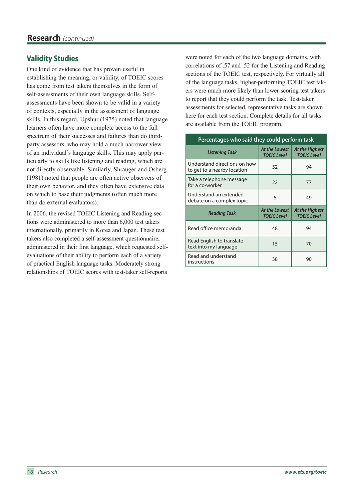# **Validity Studies**

One kind of evidence that has proven useful in establishing the meaning, or validity, of TOEIC scores has come from test takers themselves in the form of self-assessments of their own language skills. Selfassessments have been shown to be valid in a variety of contexts, especially in the assessment of language skills. In this regard, Upshur (1975) noted that language learners often have more complete access to the full spectrum of their successes and failures than do thirdparty assessors, who may hold a much narrower view of an individual's language skills. This may apply particularly to skills like listening and reading, which are not directly observable. Similarly, Shrauger and Osberg (1981) noted that people are often active observers of their own behavior, and they often have extensive data on which to base their judgments (often much more than do external evaluators).

In 2006, the revised TOEIC Listening and Reading sections were administered to more than 6,000 test takers internationally, primarily in Korea and Japan. These test takers also completed a self-assessment questionnaire, administered in their first language, which requested selfevaluations of their ability to perform each of a variety of practical English language tasks. Moderately strong relationships of TOEIC scores with test-taker self-reports

were noted for each of the two language domains, with correlations of .57 and .52 for the Listening and Reading sections of the TOEIC test, respectively. For virtually all of the language tasks, higher-performing TOEIC test takers were much more likely than lower-scoring test takers to report that they could perform the task. Test-taker assessments for selected, representative tasks are shown here for each test section. Complete details for all tasks are available from the TOEIC program.

| Percentages who said they could perform task                |                                            |                                      |  |  |  |  |
|-------------------------------------------------------------|--------------------------------------------|--------------------------------------|--|--|--|--|
| <b>Listening Task</b>                                       | <b>At the Lowest</b><br><b>TOEIC Level</b> | At the Highest<br><b>TOEIC Level</b> |  |  |  |  |
| Understand directions on how<br>to get to a nearby location | 52                                         | 94                                   |  |  |  |  |
| Take a telephone message<br>for a co-worker                 | 22                                         | 77                                   |  |  |  |  |
| Understand an extended<br>debate on a complex topic         | 6                                          | 49                                   |  |  |  |  |
| Reading Task                                                | <b>At the Lowest</b><br><b>TOEIC Level</b> | At the Highest<br><b>TOEIC Level</b> |  |  |  |  |
| Read office memoranda                                       | 48                                         | 94                                   |  |  |  |  |
| Read English to translate<br>text into my language          | 15                                         | 70                                   |  |  |  |  |
| Read and understand<br>instructions                         | 38                                         | 90                                   |  |  |  |  |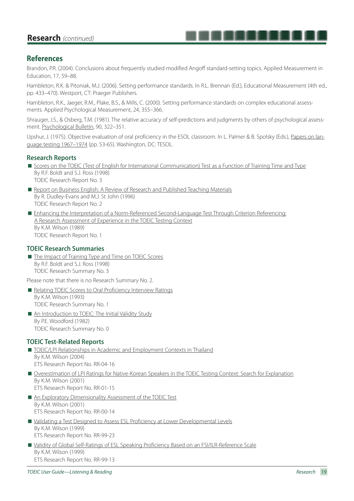# **Research** *(continued)*

## **References**

Brandon, P.R. (2004). Conclusions about frequently studied modified Angoff standard-setting topics. Applied Measurement in Education, 17, 59–88.

. . . . . . . .

Hambleton, R.K. & Pitoniak, M.J. (2006). Setting performance standards. In R.L. Brennan (Ed.), Educational Measurement (4th ed., pp. 433–470). Westport, CT: Praeger Publishers.

Hambleton, R.K., Jaeger, R.M., Plake, B.S., & Mills, C. (2000). Setting performance standards on complex educational assessments. Applied Psychological Measurement, 24, 355–366.

Shrauger, J.S., & Osberg, T.M. (1981). The relative accuracy of self-predictions and judgments by others of psychological assessment. Psychological Bulletin, 90, 322–351.

Upshur, J. (1975). Objective evaluation of oral proficiency in the ESOL classroom. In L. Palmer & B. Spolsky (Eds.), Papers on language testing 1967–1974 (pp. 53-65). Washington, DC: TESOL.

#### **Research Reports**

- Scores on the TOEIC (Test of English for International Communication) Test as a Function of Training Time and Type By R.F. Boldt and S.J. Ross (1998) TOEIC Research Report No. 3
- Report on Business English: A Review of Research and Published Teaching Materials By R. Dudley-Evans and M.J. St John (1996) TOEIC Research Report No. 2
- Enhancing the Interpretation of a Norm-Referenced Second-Language Test Through Criterion Referencing: A Research Assessment of Experience in the TOEIC Testing Context By K.M. Wilson (1989) TOEIC Research Report No. 1

#### **TOEIC Research Summaries**

■ The Impact of Training Type and Time on TOEIC Scores By R.F. Boldt and S.J. Ross (1998) TOEIC Research Summary No. 3

Please note that there is no Research Summary No. 2.

- Relating TOEIC Scores to Oral Proficiency Interview Ratings By K.M. Wilson (1993) TOEIC Research Summary No. 1
- An Introduction to TOEIC: The Initial Validity Study By P.E. Woodford (1982) TOEIC Research Summary No. 0

#### **TOEIC Test-Related Reports**

- TOEIC/LPI Relationships in Academic and Employment Contexts in Thailand By K.M. Wilson (2004) ETS Research Report No. RR-04-16
- Overestimation of LPI Ratings for Native-Korean Speakers in the TOEIC Testing Context: Search for Explanation By K.M. Wilson (2001) ETS Research Report No. RR-01-15
- An Exploratory Dimensionality Assessment of the TOEIC Test By K.M. Wilson (2001) ETS Research Report No. RR-00-14
- Validating a Test Designed to Assess ESL Proficiency at Lower Developmental Levels By K.M. Wilson (1999) ETS Research Report No. RR-99-23
- Validity of Global Self-Ratings of ESL Speaking Proficiency Based on an FSI/ILR-Reference Scale By K.M. Wilson (1999) ETS Research Report No. RR-99-13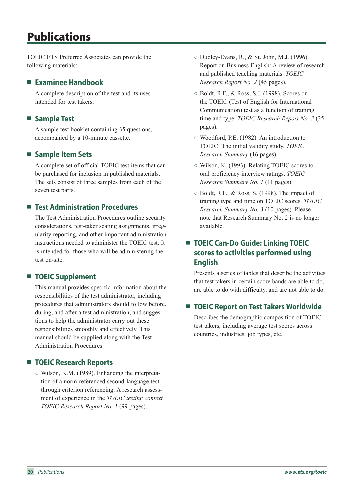# Publications

TOEIC ETS Preferred Associates can provide the following materials:

# **Examinee Handbook**

A complete description of the test and its uses intended for test takers.

# **Sample Test**

A sample test booklet containing 35 questions, accompanied by a 10-minute cassette.

# **Sample Item Sets**

A complete set of official TOEIC test items that can be purchased for inclusion in published materials. The sets consist of three samples from each of the seven test parts.

# ■ Test Administration Procedures

The Test Administration Procedures outline security considerations, test-taker seating assignments, irregularity reporting, and other important administration instructions needed to administer the TOEIC test. It is intended for those who will be administering the test on-site.

# ■ **TOEIC Supplement**

This manual provides specific information about the responsibilities of the test administrator, including procedures that administrators should follow before, during, and after a test administration, and suggestions to help the administrator carry out these responsibilities smoothly and effectively. This manual should be supplied along with the Test Administration Procedures.

# **TOEIC Research Reports**

○ Wilson, K.M. (1989). Enhancing the interpretation of a norm-referenced second-language test through criterion referencing: A research assessment of experience in the *TOEIC testing context. TOEIC Research Report No. 1* (99 pages).

- Dudley-Evans, R., & St. John, M.J. (1996). Report on Business English: A review of research and published teaching materials. *TOEIC Research Report No. 2* (45 pages).
- Boldt, R.F., & Ross, S.J. (1998). Scores on the TOEIC (Test of English for International Communication) test as a function of training time and type. *TOEIC Research Report No. 3* (35 pages).
- Woodford, P.E. (1982). An introduction to TOEIC: The initial validity study. *TOEIC Research Summary* (16 pages).
- Wilson, K. (1993). Relating TOEIC scores to oral proficiency interview ratings. *TOEIC Research Summary No. 1* (11 pages).
- Boldt, R.F., & Ross, S. (1998). The impact of training type and time on TOEIC scores. *TOEIC Research Summary No. 3* (10 pages). Please note that Research Summary No. 2 is no longer available.

# ■ **TOEIC Can-Do Guide: Linking TOEIC scores to activities performed using English**

Presents a series of tables that describe the activities that test takers in certain score bands are able to do, are able to do with difficulty, and are not able to do.

# ■ **TOEIC Report on Test Takers Worldwide**

Describes the demographic composition of TOEIC test takers, including average test scores across countries, industries, job types, etc.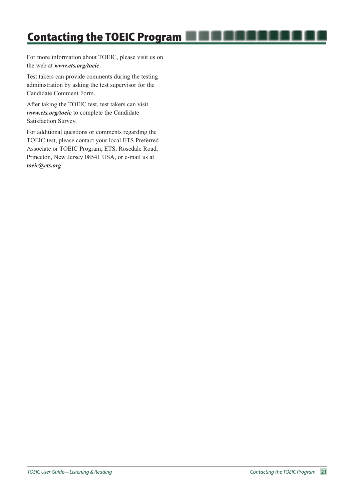For more information about TOEIC, please visit us on the web at *www.ets.org/toeic*.

Test takers can provide comments during the testing administration by asking the test supervisor for the Candidate Comment Form.

After taking the TOEIC test, test takers can visit *www.ets.org/toeic* to complete the Candidate Satisfaction Survey.

For additional questions or comments regarding the TOEIC test, please contact your local ETS Preferred Associate or TOEIC Program, ETS, Rosedale Road, Princeton, New Jersey 08541 USA, or e-mail us at *toeic@ets.org*.

. . . . . . .